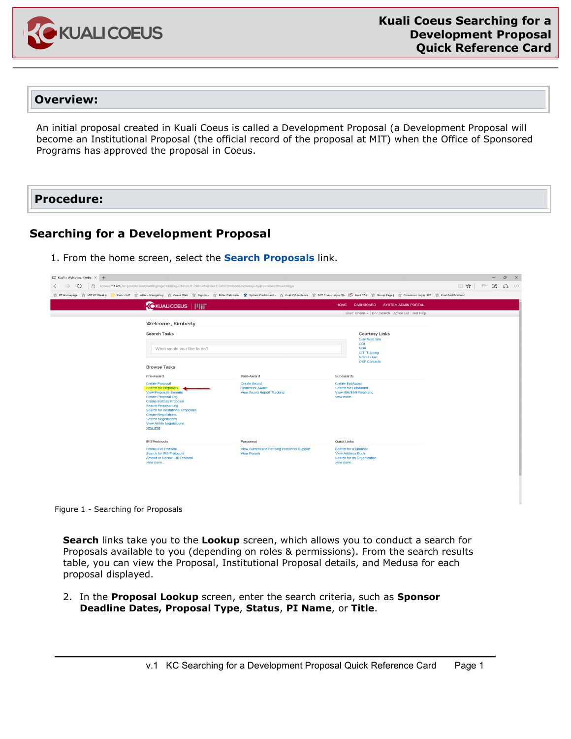

## **Overview:**

An initial proposal created in Kuali Coeus is called a Development Proposal (a Development Proposal will become an Institutional Proposal (the official record of the proposal at MIT) when the Office of Sponsored Programs has approved the proposal in Coeus.

## **Procedure:**

## **Searching for a Development Proposal**

1. From the home screen, select the **Search Proposals** link.

| $\Box$ Kuali :: Welcome, Kimbe $\times$ +<br>$\sigma$<br>$\mathsf{X}$<br>$-$ |                                                                                                                                                                                                                                                                                                                      |                                                                               |                                                                                                            |                                                                                                                                                                                                               |                     |              |  |              |  |
|------------------------------------------------------------------------------|----------------------------------------------------------------------------------------------------------------------------------------------------------------------------------------------------------------------------------------------------------------------------------------------------------------------|-------------------------------------------------------------------------------|------------------------------------------------------------------------------------------------------------|---------------------------------------------------------------------------------------------------------------------------------------------------------------------------------------------------------------|---------------------|--------------|--|--------------|--|
| A<br>↻<br>$\rightarrow$<br>$\leftarrow$                                      | kcoeus.mit.edu/kc-prod/kc-krad/landingPage?formKey=7f41b021-7983-416d-8e51-7af3729f0bdd&cacheKey=hy45pote0ess7tbue2s9lqye                                                                                                                                                                                            |                                                                               |                                                                                                            |                                                                                                                                                                                                               | $\Box \mathbf{x}$ = | $\mathbb{Z}$ |  | $\mathbb{Q}$ |  |
| ☆ RT Homepage ☆ MIT KC Weekly                                                |                                                                                                                                                                                                                                                                                                                      |                                                                               |                                                                                                            | Kim's stuff ☆ Atlas - Navigating ☆ Coeus Web ☆ Sign In - ☆ Roles Database: 앞 System Dashboard - ☆ Kuali QA instance ☆ MIT Coeus Login QA 【 Kuali CAS ☆ Group Page   ☆ Commons Login UAT ☆ Kuali Notifications |                     |              |  |              |  |
|                                                                              | <b>CKUALICOEUS</b>   IIII                                                                                                                                                                                                                                                                                            |                                                                               | <b>HOME</b>                                                                                                | <b>DASHBOARD</b><br><b>SYSTEM ADMIN PORTAL</b>                                                                                                                                                                |                     |              |  |              |  |
|                                                                              |                                                                                                                                                                                                                                                                                                                      |                                                                               |                                                                                                            | User: kmann - Doc Search Action List Get Help                                                                                                                                                                 |                     |              |  |              |  |
|                                                                              | Welcome, Kimberly                                                                                                                                                                                                                                                                                                    |                                                                               |                                                                                                            |                                                                                                                                                                                                               |                     |              |  |              |  |
| <b>Search Tasks</b><br><b>Browse Tasks</b>                                   | What would you like to do?                                                                                                                                                                                                                                                                                           |                                                                               |                                                                                                            | <b>Courtesy Links</b><br><b>OSP Web Site</b><br>COI<br><b>NDA</b><br><b>CITI Training</b><br>Grants.Gov<br><b>OSP Contacts</b>                                                                                |                     |              |  |              |  |
| Pre-Award                                                                    |                                                                                                                                                                                                                                                                                                                      | Post-Award                                                                    | Subawards                                                                                                  |                                                                                                                                                                                                               |                     |              |  |              |  |
| view less                                                                    | <b>Create Proposal</b><br><b>Search for Proposals</b><br><b>View Proposals Enroute</b><br><b>Create Proposal Log</b><br><b>Create Institute Proposal</b><br><b>Search Proposal Log</b><br>Search for Institutional Proposals<br><b>Create Negotiations</b><br><b>Search Negotiations</b><br>View All My Negotiations |                                                                               |                                                                                                            | <b>Create SubAward</b><br><b>Search for SubAward</b><br><b>View ISR/SSR Reporting</b>                                                                                                                         |                     |              |  |              |  |
| <b>IRB Protocols</b><br>view more                                            | <b>Create IRB Protocol</b><br><b>Search for IRB Protocols</b><br><b>Amend or Renew IRB Protocol</b>                                                                                                                                                                                                                  | Personnel<br>View Current and Pending Personnel Support<br><b>View Person</b> | Quick Links<br>Search for a Sponsor<br><b>View Address Book</b><br>Search for an Organization<br>view more |                                                                                                                                                                                                               |                     |              |  |              |  |
|                                                                              |                                                                                                                                                                                                                                                                                                                      |                                                                               |                                                                                                            |                                                                                                                                                                                                               |                     |              |  |              |  |

Figure 1 - Searching for Proposals

**Search** links take you to the **Lookup** screen, which allows you to conduct a search for Proposals available to you (depending on roles & permissions). From the search results table, you can view the Proposal, Institutional Proposal details, and Medusa for each proposal displayed.

2. In the **Proposal Lookup** screen, enter the search criteria, such as **Sponsor Deadline Dates, Proposal Type**, **Status**, **PI Name**, or **Title**.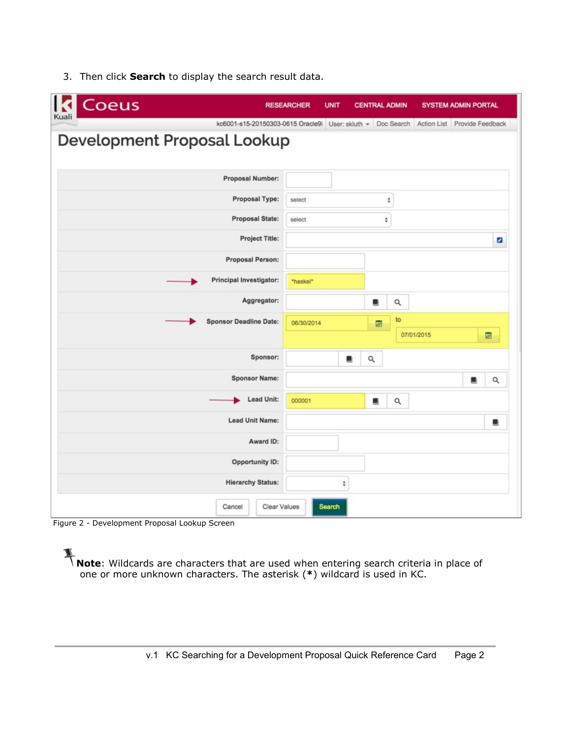| Coeus                         |                        | <b>RESEARCHER</b>                                                                        | <b>UNIT</b> | <b>CENTRAL ADMIN</b> |          |            | <b>SYSTEM ADMIN PORTAL</b> |          |
|-------------------------------|------------------------|------------------------------------------------------------------------------------------|-------------|----------------------|----------|------------|----------------------------|----------|
| Kuali                         |                        | kc6001-s15-20150303-0615 Oracle9i User; skluth ~ Doc Search Action List Provide Feedback |             |                      |          |            |                            |          |
| Development Proposal Lookup   |                        |                                                                                          |             |                      |          |            |                            |          |
|                               |                        |                                                                                          |             |                      |          |            |                            |          |
| Proposal Number:              |                        |                                                                                          |             |                      |          |            |                            |          |
|                               | Proposal Type:         | ÷<br>select                                                                              |             |                      |          |            |                            |          |
|                               | Proposal State:        | $\hat{\vec{v}}$<br>select                                                                |             |                      |          |            |                            |          |
|                               | Project Title:         |                                                                                          |             |                      |          |            |                            | ø        |
| <b>Proposal Person:</b>       |                        |                                                                                          |             |                      |          |            |                            |          |
| Principal Investigator:       |                        | "haskel"                                                                                 |             |                      |          |            |                            |          |
|                               | Aggregator:            |                                                                                          |             | a,                   | Q        |            |                            |          |
| <b>Sponsor Deadline Date:</b> |                        | 06/30/2014                                                                               |             | 圖                    | to       |            |                            |          |
|                               |                        |                                                                                          |             |                      |          | 07/01/2015 |                            | 圖        |
|                               | Sponsor:               |                                                                                          | ш           | Q                    |          |            |                            |          |
|                               | <b>Sponsor Name:</b>   |                                                                                          |             |                      |          |            | 鹽                          | $\alpha$ |
|                               | Lead Unit:             | 000001                                                                                   |             | ш                    | $\alpha$ |            |                            |          |
| <b>Lead Unit Name:</b>        |                        |                                                                                          |             |                      |          |            |                            | ш        |
|                               | Award ID:              |                                                                                          |             |                      |          |            |                            |          |
|                               | <b>Opportunity ID:</b> |                                                                                          |             |                      |          |            |                            |          |
| <b>Hierarchy Status:</b>      |                        |                                                                                          | ÷           |                      |          |            |                            |          |
|                               |                        |                                                                                          |             |                      |          |            |                            |          |
| Cancel                        | Clear Values           |                                                                                          | Search      |                      |          |            |                            |          |

3. Then click **Search** to display the search result data.

Figure 2 - Development Proposal Lookup Screen

**Note**: Wildcards are characters that are used when entering search criteria in place of one or more unknown characters. The asterisk (**\***) wildcard is used in KC.